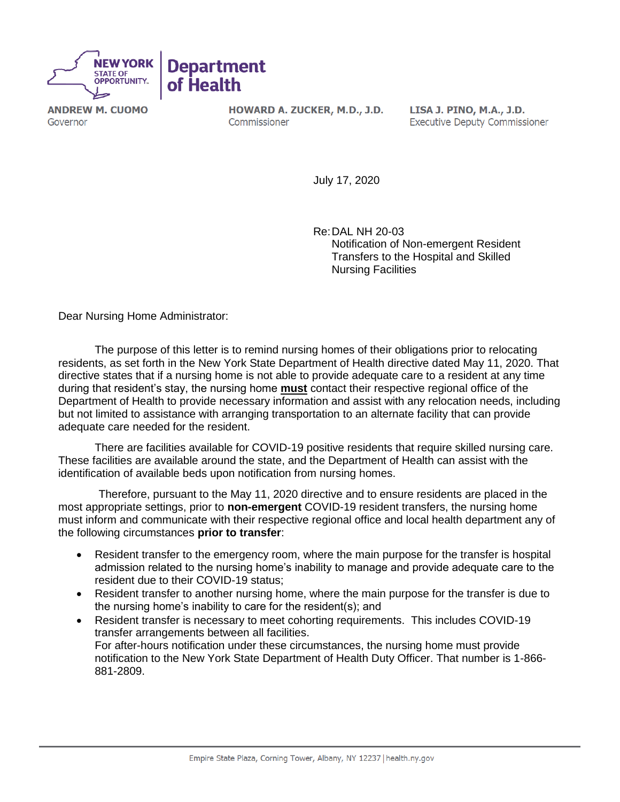

**ANDREW M. CUOMO** Governor

HOWARD A. ZUCKER, M.D., J.D. Commissioner

LISA J. PINO, M.A., J.D. **Executive Deputy Commissioner** 

July 17, 2020

Re:DAL NH 20-03 Notification of Non-emergent Resident Transfers to the Hospital and Skilled Nursing Facilities

Dear Nursing Home Administrator:

The purpose of this letter is to remind nursing homes of their obligations prior to relocating residents, as set forth in the New York State Department of Health directive dated May 11, 2020. That directive states that if a nursing home is not able to provide adequate care to a resident at any time during that resident's stay, the nursing home **must** contact their respective regional office of the Department of Health to provide necessary information and assist with any relocation needs, including but not limited to assistance with arranging transportation to an alternate facility that can provide adequate care needed for the resident.

There are facilities available for COVID-19 positive residents that require skilled nursing care. These facilities are available around the state, and the Department of Health can assist with the identification of available beds upon notification from nursing homes.

 Therefore, pursuant to the May 11, 2020 directive and to ensure residents are placed in the most appropriate settings, prior to **non-emergent** COVID-19 resident transfers, the nursing home must inform and communicate with their respective regional office and local health department any of the following circumstances **prior to transfer**:

- Resident transfer to the emergency room, where the main purpose for the transfer is hospital admission related to the nursing home's inability to manage and provide adequate care to the resident due to their COVID-19 status;
- Resident transfer to another nursing home, where the main purpose for the transfer is due to the nursing home's inability to care for the resident(s); and
- Resident transfer is necessary to meet cohorting requirements. This includes COVID-19 transfer arrangements between all facilities. For after-hours notification under these circumstances, the nursing home must provide notification to the New York State Department of Health Duty Officer. That number is 1-866- 881-2809.